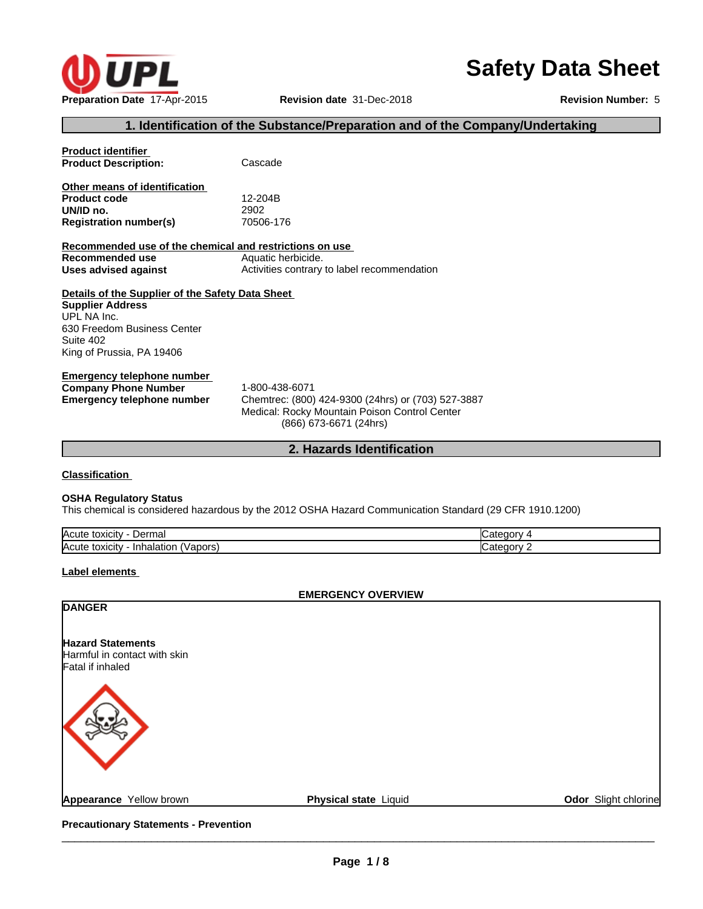

# **Safety Data Sheet**

#### **1. Identification of the Substance/Preparation and of the Company/Undertaking**

| <b>Product identifier</b>                               |                                                    |
|---------------------------------------------------------|----------------------------------------------------|
| <b>Product Description:</b>                             | Cascade                                            |
|                                                         |                                                    |
| Other means of identification                           |                                                    |
| <b>Product code</b>                                     | 12-204B                                            |
| UN/ID no.                                               | 2902                                               |
| <b>Registration number(s)</b>                           | 70506-176                                          |
| Recommended use of the chemical and restrictions on use |                                                    |
| Recommended use                                         | Aquatic herbicide.                                 |
| Uses advised against                                    | Activities contrary to label recommendation        |
|                                                         |                                                    |
| Details of the Supplier of the Safety Data Sheet        |                                                    |
| <b>Supplier Address</b>                                 |                                                    |
| UPL NA Inc.                                             |                                                    |
| 630 Freedom Business Center                             |                                                    |
| Suite 402                                               |                                                    |
| King of Prussia, PA 19406                               |                                                    |
|                                                         |                                                    |
| Emergency telephone number                              |                                                    |
| <b>Company Phone Number</b>                             | 1-800-438-6071                                     |
| <b>Emergency telephone number</b>                       | Chemtrec: (800) 424-9300 (24hrs) or (703) 527-3887 |
|                                                         | Medical: Rocky Mountain Poison Control Center      |
|                                                         | (866) 673-6671 (24hrs)                             |
|                                                         |                                                    |
|                                                         | 2. Hazards Identification                          |
|                                                         |                                                    |

**Classification**

#### **OSHA Regulatory Status**

This chemical is considered hazardous by the 2012 OSHA Hazard Communication Standard (29 CFR 1910.1200)

| <b>IAcute</b><br>Jorme<br>toxicity<br>'⊓ldı<br>∶וסע |         |
|-----------------------------------------------------|---------|
| <b>IAcute</b><br>Inh<br>toxicity<br>pors<br>naiatio | эrм<br> |

#### **Label elements**

#### **EMERGENCY OVERVIEW**

**DANGER**

**Hazard Statements** Harmful in contact with skin Fatal if inhaled



**Odor** Slight chlorine

**Precautionary Statements - Prevention**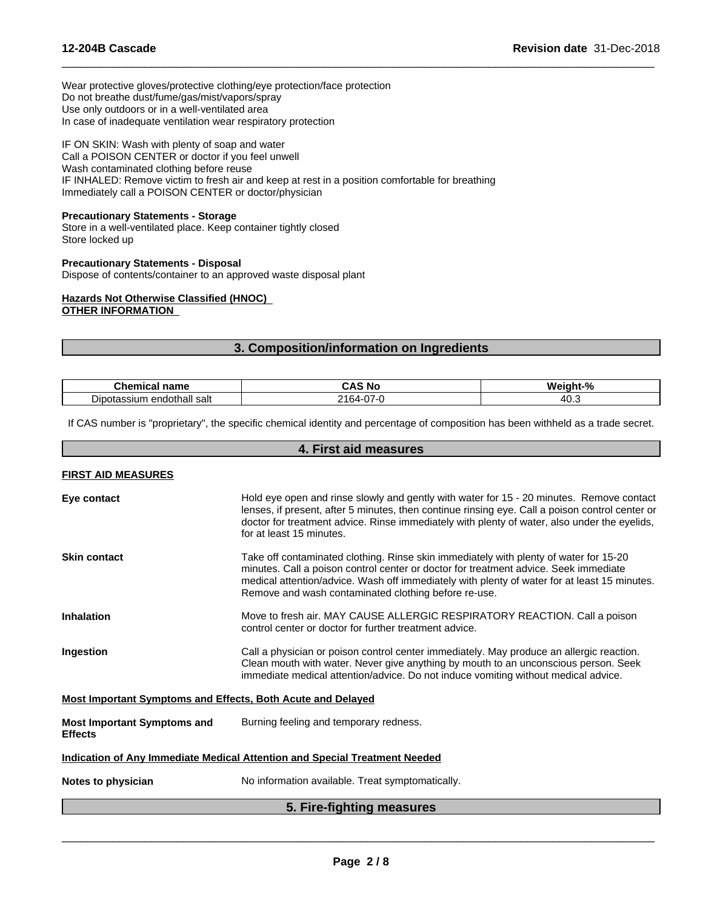Wear protective gloves/protective clothing/eye protection/face protection Do not breathe dust/fume/gas/mist/vapors/spray Use only outdoors or in a well-ventilated area In case of inadequate ventilation wear respiratory protection

IF ON SKIN: Wash with plenty of soap and water Call a POISON CENTER or doctor if you feel unwell Wash contaminated clothing before reuse IF INHALED: Remove victim to fresh air and keep at rest in a position comfortable for breathing Immediately call a POISON CENTER or doctor/physician

#### **Precautionary Statements - Storage**

Store in a well-ventilated place. Keep container tightly closed Store locked up

#### **Precautionary Statements - Disposal**

Dispose of contents/container to an approved waste disposal plant

#### **Hazards Not Otherwise Classified (HNOC) OTHER INFORMATION**

#### **3. Composition/information on Ingredients**

 $\overline{\phantom{a}}$  ,  $\overline{\phantom{a}}$  ,  $\overline{\phantom{a}}$  ,  $\overline{\phantom{a}}$  ,  $\overline{\phantom{a}}$  ,  $\overline{\phantom{a}}$  ,  $\overline{\phantom{a}}$  ,  $\overline{\phantom{a}}$  ,  $\overline{\phantom{a}}$  ,  $\overline{\phantom{a}}$  ,  $\overline{\phantom{a}}$  ,  $\overline{\phantom{a}}$  ,  $\overline{\phantom{a}}$  ,  $\overline{\phantom{a}}$  ,  $\overline{\phantom{a}}$  ,  $\overline{\phantom{a}}$ 

| .<br>name<br>∪nemical                         | - 144<br>unu  | $\mathbf{a}$<br>. |
|-----------------------------------------------|---------------|-------------------|
| --<br>ı endothall salt<br>ssium<br>л ла:<br>. | $\cdots$<br>_ | - 40<br>יט.       |

If CAS number is "proprietary", the specific chemical identity and percentage of composition has been withheld as a trade secret.

# **4. First aid measures FIRST AID MEASURES Eye contact** Hold eye open and rinse slowly and gently with water for 15 - 20 minutes. Remove contact lenses, if present, after 5 minutes, then continue rinsing eye. Call a poison control center or doctor for treatment advice. Rinse immediately with plenty of water, also under the eyelids, for at least 15 minutes. **Skin contact** Take off contaminated clothing. Rinse skin immediately with plenty of water for 15-20 minutes. Call a poison control center or doctor for treatment advice. Seek immediate medical attention/advice. Wash off immediately with plenty of water for atleast 15 minutes. Remove and wash contaminated clothing before re-use. **Inhalation** Move to fresh air. MAY CAUSE ALLERGIC RESPIRATORY REACTION. Call a poison control center or doctor for further treatment advice. **Ingestion Example 20** Call a physician or poison control center immediately. May produce an allergic reaction. Clean mouth with water. Never give anything by mouth to an unconscious person. Seek immediate medical attention/advice. Do not induce vomiting without medical advice. **Most Important Symptoms and Effects, Both Acute and Delayed Most Important Symptoms and Effects** Burning feeling and temporary redness. **Indication of Any Immediate Medical Attention and Special Treatment Needed Notes to physician** No information available. Treat symptomatically. **5. Fire-fighting measures**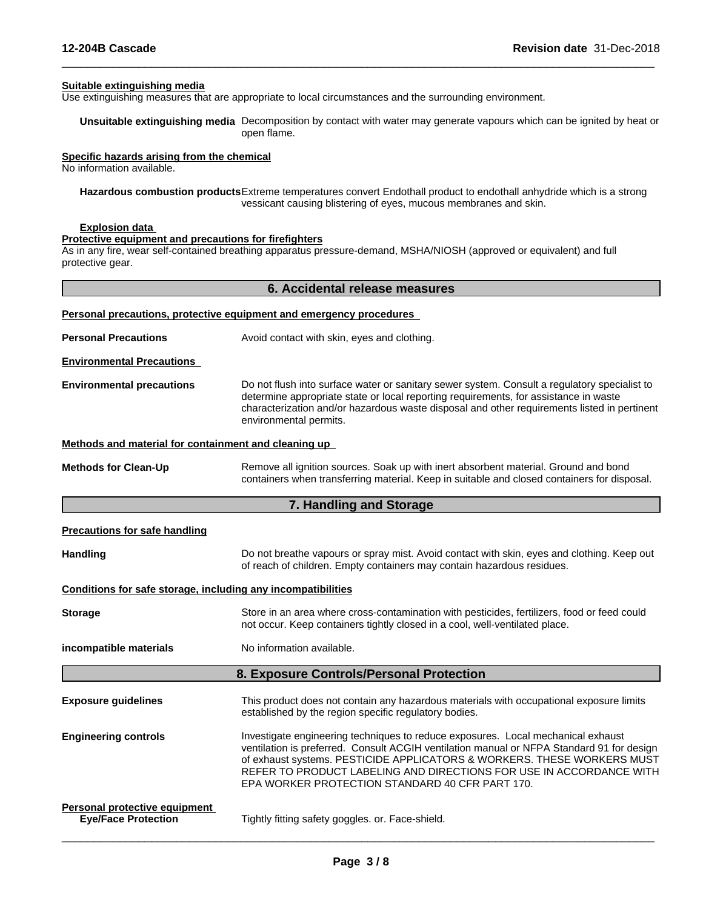#### **Suitable extinguishing media**

Use extinguishing measures that are appropriate to local circumstances and the surrounding environment.

**Unsuitable extinguishing media** Decomposition by contact with water may generate vapours which can be ignited by heat or open flame.

 $\overline{\phantom{a}}$  ,  $\overline{\phantom{a}}$  ,  $\overline{\phantom{a}}$  ,  $\overline{\phantom{a}}$  ,  $\overline{\phantom{a}}$  ,  $\overline{\phantom{a}}$  ,  $\overline{\phantom{a}}$  ,  $\overline{\phantom{a}}$  ,  $\overline{\phantom{a}}$  ,  $\overline{\phantom{a}}$  ,  $\overline{\phantom{a}}$  ,  $\overline{\phantom{a}}$  ,  $\overline{\phantom{a}}$  ,  $\overline{\phantom{a}}$  ,  $\overline{\phantom{a}}$  ,  $\overline{\phantom{a}}$ 

#### **Specific hazards arising from the chemical**

No information available.

**Hazardous combustion products**Extreme temperatures convert Endothall product to endothall anhydride which is a strong vessicant causing blistering of eyes, mucous membranes and skin.

#### **Explosion data**

#### **Protective equipment and precautions for firefighters**

As in any fire, wear self-contained breathing apparatus pressure-demand, MSHA/NIOSH (approved or equivalent) and full protective gear.

| 6. Accidental release measures                               |                                                                                                                                                                                                                                                                                                                                                                                    |  |
|--------------------------------------------------------------|------------------------------------------------------------------------------------------------------------------------------------------------------------------------------------------------------------------------------------------------------------------------------------------------------------------------------------------------------------------------------------|--|
|                                                              | Personal precautions, protective equipment and emergency procedures                                                                                                                                                                                                                                                                                                                |  |
| <b>Personal Precautions</b>                                  | Avoid contact with skin, eyes and clothing.                                                                                                                                                                                                                                                                                                                                        |  |
| <b>Environmental Precautions</b>                             |                                                                                                                                                                                                                                                                                                                                                                                    |  |
| <b>Environmental precautions</b>                             | Do not flush into surface water or sanitary sewer system. Consult a regulatory specialist to<br>determine appropriate state or local reporting requirements, for assistance in waste<br>characterization and/or hazardous waste disposal and other requirements listed in pertinent<br>environmental permits.                                                                      |  |
| Methods and material for containment and cleaning up         |                                                                                                                                                                                                                                                                                                                                                                                    |  |
| <b>Methods for Clean-Up</b>                                  | Remove all ignition sources. Soak up with inert absorbent material. Ground and bond<br>containers when transferring material. Keep in suitable and closed containers for disposal.                                                                                                                                                                                                 |  |
|                                                              | 7. Handling and Storage                                                                                                                                                                                                                                                                                                                                                            |  |
| <b>Precautions for safe handling</b>                         |                                                                                                                                                                                                                                                                                                                                                                                    |  |
| Handling                                                     | Do not breathe vapours or spray mist. Avoid contact with skin, eyes and clothing. Keep out<br>of reach of children. Empty containers may contain hazardous residues.                                                                                                                                                                                                               |  |
| Conditions for safe storage, including any incompatibilities |                                                                                                                                                                                                                                                                                                                                                                                    |  |
| <b>Storage</b>                                               | Store in an area where cross-contamination with pesticides, fertilizers, food or feed could<br>not occur. Keep containers tightly closed in a cool, well-ventilated place.                                                                                                                                                                                                         |  |
| incompatible materials                                       | No information available.                                                                                                                                                                                                                                                                                                                                                          |  |
|                                                              | 8. Exposure Controls/Personal Protection                                                                                                                                                                                                                                                                                                                                           |  |
| <b>Exposure guidelines</b>                                   | This product does not contain any hazardous materials with occupational exposure limits<br>established by the region specific regulatory bodies.                                                                                                                                                                                                                                   |  |
| <b>Engineering controls</b>                                  | Investigate engineering techniques to reduce exposures. Local mechanical exhaust<br>ventilation is preferred. Consult ACGIH ventilation manual or NFPA Standard 91 for design<br>of exhaust systems. PESTICIDE APPLICATORS & WORKERS. THESE WORKERS MUST<br>REFER TO PRODUCT LABELING AND DIRECTIONS FOR USE IN ACCORDANCE WITH<br>EPA WORKER PROTECTION STANDARD 40 CFR PART 170. |  |
| Personal protective equipment<br><b>Eye/Face Protection</b>  | Tightly fitting safety goggles. or. Face-shield.                                                                                                                                                                                                                                                                                                                                   |  |
|                                                              |                                                                                                                                                                                                                                                                                                                                                                                    |  |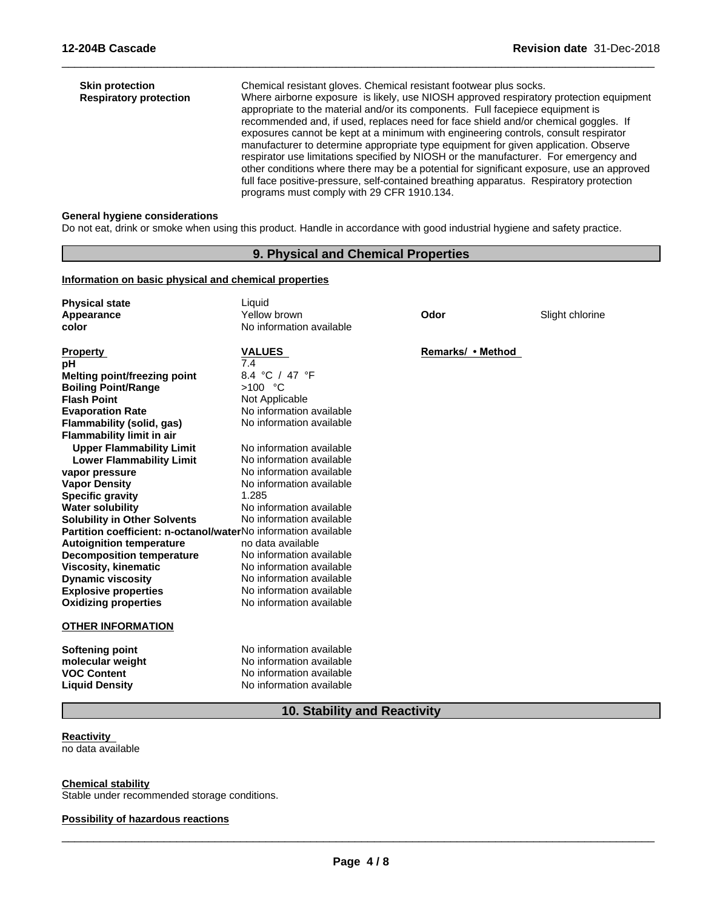| <b>Skin protection</b><br><b>Respiratory protection</b> | Chemical resistant gloves. Chemical resistant footwear plus socks.<br>Where airborne exposure is likely, use NIOSH approved respiratory protection equipment<br>appropriate to the material and/or its components. Full facepiece equipment is<br>recommended and, if used, replaces need for face shield and/or chemical goggles. If<br>exposures cannot be kept at a minimum with engineering controls, consult respirator<br>manufacturer to determine appropriate type equipment for given application. Observe<br>respirator use limitations specified by NIOSH or the manufacturer. For emergency and<br>other conditions where there may be a potential for significant exposure, use an approved<br>full face positive-pressure, self-contained breathing apparatus. Respiratory protection<br>programs must comply with 29 CFR 1910.134. |  |
|---------------------------------------------------------|---------------------------------------------------------------------------------------------------------------------------------------------------------------------------------------------------------------------------------------------------------------------------------------------------------------------------------------------------------------------------------------------------------------------------------------------------------------------------------------------------------------------------------------------------------------------------------------------------------------------------------------------------------------------------------------------------------------------------------------------------------------------------------------------------------------------------------------------------|--|
|---------------------------------------------------------|---------------------------------------------------------------------------------------------------------------------------------------------------------------------------------------------------------------------------------------------------------------------------------------------------------------------------------------------------------------------------------------------------------------------------------------------------------------------------------------------------------------------------------------------------------------------------------------------------------------------------------------------------------------------------------------------------------------------------------------------------------------------------------------------------------------------------------------------------|--|

 $\overline{\phantom{a}}$  ,  $\overline{\phantom{a}}$  ,  $\overline{\phantom{a}}$  ,  $\overline{\phantom{a}}$  ,  $\overline{\phantom{a}}$  ,  $\overline{\phantom{a}}$  ,  $\overline{\phantom{a}}$  ,  $\overline{\phantom{a}}$  ,  $\overline{\phantom{a}}$  ,  $\overline{\phantom{a}}$  ,  $\overline{\phantom{a}}$  ,  $\overline{\phantom{a}}$  ,  $\overline{\phantom{a}}$  ,  $\overline{\phantom{a}}$  ,  $\overline{\phantom{a}}$  ,  $\overline{\phantom{a}}$ 

#### **General hygiene considerations**

Do not eat, drink or smoke when using this product. Handle in accordance with good industrial hygiene and safety practice.

#### **9. Physical and Chemical Properties**

#### **Information on basic physical and chemical properties**

| <b>Physical state</b><br>Appearance<br>color                   | Liquid<br>Yellow brown<br>No information available | Odor              | Slight chlorine |
|----------------------------------------------------------------|----------------------------------------------------|-------------------|-----------------|
| <b>Property</b>                                                | <b>VALUES</b>                                      | Remarks/ • Method |                 |
| pH                                                             | 7.4                                                |                   |                 |
| Melting point/freezing point                                   | 8.4 °C / 47 °F                                     |                   |                 |
| <b>Boiling Point/Range</b>                                     | $>100$ °C                                          |                   |                 |
| <b>Flash Point</b>                                             | Not Applicable                                     |                   |                 |
| <b>Evaporation Rate</b>                                        | No information available                           |                   |                 |
| <b>Flammability (solid, gas)</b>                               | No information available                           |                   |                 |
| <b>Flammability limit in air</b>                               |                                                    |                   |                 |
| <b>Upper Flammability Limit</b>                                | No information available                           |                   |                 |
| <b>Lower Flammability Limit</b>                                | No information available                           |                   |                 |
| vapor pressure                                                 | No information available                           |                   |                 |
| <b>Vapor Density</b>                                           | No information available                           |                   |                 |
| <b>Specific gravity</b>                                        | 1.285                                              |                   |                 |
| <b>Water solubility</b>                                        | No information available                           |                   |                 |
| <b>Solubility in Other Solvents</b>                            | No information available                           |                   |                 |
| Partition coefficient: n-octanol/waterNo information available |                                                    |                   |                 |
| <b>Autoignition temperature</b>                                | no data available                                  |                   |                 |
| <b>Decomposition temperature</b>                               | No information available                           |                   |                 |
| <b>Viscosity, kinematic</b>                                    | No information available                           |                   |                 |
| <b>Dynamic viscosity</b>                                       | No information available                           |                   |                 |
| <b>Explosive properties</b>                                    | No information available                           |                   |                 |
| <b>Oxidizing properties</b>                                    | No information available                           |                   |                 |
| <b>OTHER INFORMATION</b>                                       |                                                    |                   |                 |
| <b>Softening point</b>                                         | No information available                           |                   |                 |
| molecular weight                                               | No information available                           |                   |                 |
| <b>VOC Content</b>                                             | No information available                           |                   |                 |
| <b>Liquid Density</b>                                          | No information available                           |                   |                 |

# **10. Stability and Reactivity**

# **Reactivity**

no data available

#### **Chemical stability**

Stable under recommended storage conditions.

#### **Possibility of hazardous reactions**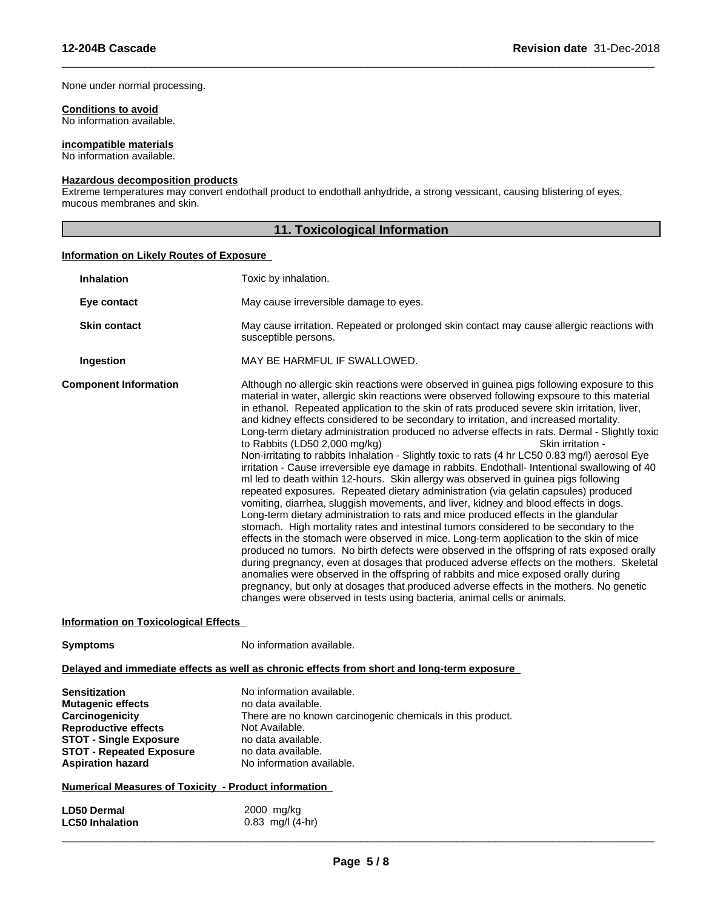#### None under normal processing.

#### **Conditions to avoid**

No information available.

#### **incompatible materials**

No information available.

#### **Hazardous decomposition products**

Extreme temperatures may convert endothall product to endothall anhydride, a strong vessicant, causing blistering of eyes, mucous membranes and skin.

#### **11. Toxicological Information**

 $\overline{\phantom{a}}$  ,  $\overline{\phantom{a}}$  ,  $\overline{\phantom{a}}$  ,  $\overline{\phantom{a}}$  ,  $\overline{\phantom{a}}$  ,  $\overline{\phantom{a}}$  ,  $\overline{\phantom{a}}$  ,  $\overline{\phantom{a}}$  ,  $\overline{\phantom{a}}$  ,  $\overline{\phantom{a}}$  ,  $\overline{\phantom{a}}$  ,  $\overline{\phantom{a}}$  ,  $\overline{\phantom{a}}$  ,  $\overline{\phantom{a}}$  ,  $\overline{\phantom{a}}$  ,  $\overline{\phantom{a}}$ 

#### **Information on Likely Routes of Exposure**

| <b>Inhalation</b>            | Toxic by inhalation.                                                                                                                                                                                                                                                                                                                                                                                                                                                                                                                                                                                                                                                                                                                                                                                                                                                                                                                                                                                                                                                                                                                                                                                                                                                                                                                                                                                                                                                                                                                                                                                                                                                                                                                                    |
|------------------------------|---------------------------------------------------------------------------------------------------------------------------------------------------------------------------------------------------------------------------------------------------------------------------------------------------------------------------------------------------------------------------------------------------------------------------------------------------------------------------------------------------------------------------------------------------------------------------------------------------------------------------------------------------------------------------------------------------------------------------------------------------------------------------------------------------------------------------------------------------------------------------------------------------------------------------------------------------------------------------------------------------------------------------------------------------------------------------------------------------------------------------------------------------------------------------------------------------------------------------------------------------------------------------------------------------------------------------------------------------------------------------------------------------------------------------------------------------------------------------------------------------------------------------------------------------------------------------------------------------------------------------------------------------------------------------------------------------------------------------------------------------------|
| Eye contact                  | May cause irreversible damage to eyes.                                                                                                                                                                                                                                                                                                                                                                                                                                                                                                                                                                                                                                                                                                                                                                                                                                                                                                                                                                                                                                                                                                                                                                                                                                                                                                                                                                                                                                                                                                                                                                                                                                                                                                                  |
| <b>Skin contact</b>          | May cause irritation. Repeated or prolonged skin contact may cause allergic reactions with<br>susceptible persons.                                                                                                                                                                                                                                                                                                                                                                                                                                                                                                                                                                                                                                                                                                                                                                                                                                                                                                                                                                                                                                                                                                                                                                                                                                                                                                                                                                                                                                                                                                                                                                                                                                      |
| Ingestion                    | MAY BE HARMFUL IF SWALLOWED.                                                                                                                                                                                                                                                                                                                                                                                                                                                                                                                                                                                                                                                                                                                                                                                                                                                                                                                                                                                                                                                                                                                                                                                                                                                                                                                                                                                                                                                                                                                                                                                                                                                                                                                            |
| <b>Component Information</b> | Although no allergic skin reactions were observed in guinea pigs following exposure to this<br>material in water, allergic skin reactions were observed following expsoure to this material<br>in ethanol. Repeated application to the skin of rats produced severe skin irritation, liver,<br>and kidney effects considered to be secondary to irritation, and increased mortality.<br>Long-term dietary administration produced no adverse effects in rats. Dermal - Slightly toxic<br>to Rabbits (LD50 2,000 mg/kg)<br>Skin irritation -<br>Non-irritating to rabbits Inhalation - Slightly toxic to rats (4 hr LC50 0.83 mg/l) aerosol Eye<br>irritation - Cause irreversible eye damage in rabbits. Endothall- Intentional swallowing of 40<br>ml led to death within 12-hours. Skin allergy was observed in guinea pigs following<br>repeated exposures. Repeated dietary administration (via gelatin capsules) produced<br>vomiting, diarrhea, sluggish movements, and liver, kidney and blood effects in dogs.<br>Long-term dietary administration to rats and mice produced effects in the glandular<br>stomach. High mortality rates and intestinal tumors considered to be secondary to the<br>effects in the stomach were observed in mice. Long-term application to the skin of mice<br>produced no tumors. No birth defects were observed in the offspring of rats exposed orally<br>during pregnancy, even at dosages that produced adverse effects on the mothers. Skeletal<br>anomalies were observed in the offspring of rabbits and mice exposed orally during<br>pregnancy, but only at dosages that produced adverse effects in the mothers. No genetic<br>changes were observed in tests using bacteria, animal cells or animals. |

#### **Information on Toxicological Effects**

**Symptoms** No information available.

#### **Delayed and immediate effects as well as chronic effects from short and long-term exposure**

| <b>Sensitization</b>            | No information available.                                  |
|---------------------------------|------------------------------------------------------------|
| <b>Mutagenic effects</b>        | no data available.                                         |
| Carcinogenicity                 | There are no known carcinogenic chemicals in this product. |
| <b>Reproductive effects</b>     | Not Available.                                             |
| <b>STOT - Single Exposure</b>   | no data available.                                         |
| <b>STOT - Repeated Exposure</b> | no data available.                                         |
| <b>Aspiration hazard</b>        | No information available.                                  |

#### **Numerical Measures of Toxicity - Product information**

| <b>LD50 Dermal</b>     | 2000 mg/kg           |
|------------------------|----------------------|
| <b>LC50 Inhalation</b> | $0.83$ mg/l $(4-hr)$ |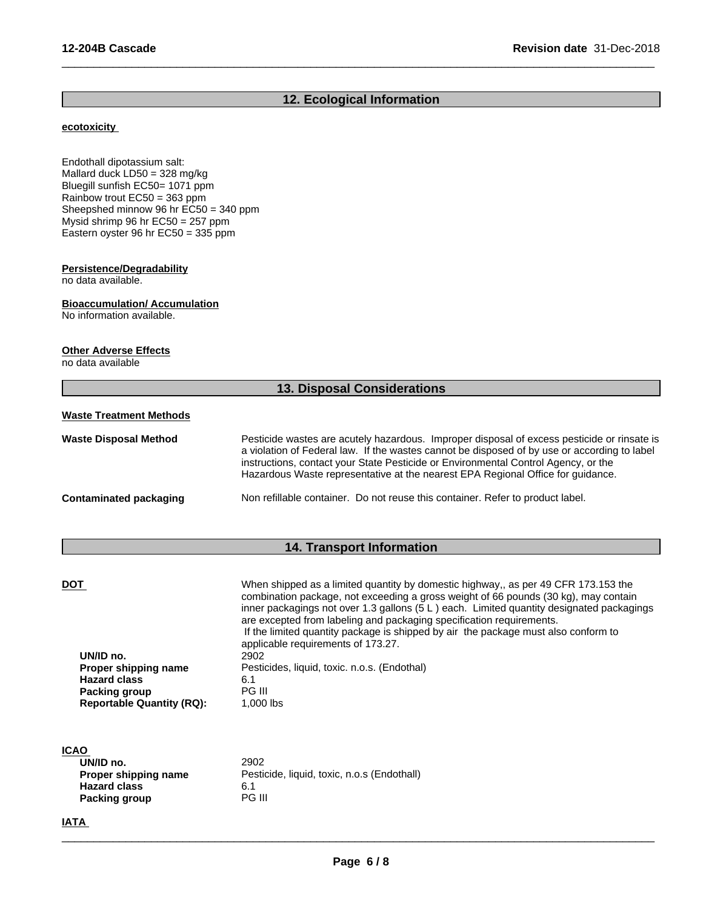#### **12. Ecological Information**

 $\overline{\phantom{a}}$  ,  $\overline{\phantom{a}}$  ,  $\overline{\phantom{a}}$  ,  $\overline{\phantom{a}}$  ,  $\overline{\phantom{a}}$  ,  $\overline{\phantom{a}}$  ,  $\overline{\phantom{a}}$  ,  $\overline{\phantom{a}}$  ,  $\overline{\phantom{a}}$  ,  $\overline{\phantom{a}}$  ,  $\overline{\phantom{a}}$  ,  $\overline{\phantom{a}}$  ,  $\overline{\phantom{a}}$  ,  $\overline{\phantom{a}}$  ,  $\overline{\phantom{a}}$  ,  $\overline{\phantom{a}}$ 

#### **ecotoxicity**

Endothall dipotassium salt: Mallard duck LD50 = 328 mg/kg Bluegill sunfish EC50= 1071 ppm Rainbow trout EC50 = 363 ppm Sheepshed minnow 96 hr EC50 = 340 ppm Mysid shrimp 96 hr EC50 = 257 ppm Eastern oyster 96 hr EC50 = 335 ppm

#### **Persistence/Degradability**

no data available.

#### **Bioaccumulation/ Accumulation**

No information available.

#### **Other Adverse Effects**

no data available

# **13. Disposal Considerations**

#### **Waste Treatment Methods**

| <b>Waste Disposal Method</b> | Pesticide wastes are acutely hazardous. Improper disposal of excess pesticide or rinsate is<br>a violation of Federal law. If the wastes cannot be disposed of by use or according to label<br>instructions, contact your State Pesticide or Environmental Control Agency, or the<br>Hazardous Waste representative at the nearest EPA Regional Office for quidance. |
|------------------------------|----------------------------------------------------------------------------------------------------------------------------------------------------------------------------------------------------------------------------------------------------------------------------------------------------------------------------------------------------------------------|
| Contaminated packaging       | Non refillable container. Do not reuse this container. Refer to product label.                                                                                                                                                                                                                                                                                       |

### **14. Transport Information**

| DOT                              | When shipped as a limited quantity by domestic highway,, as per 49 CFR 173.153 the       |
|----------------------------------|------------------------------------------------------------------------------------------|
|                                  | combination package, not exceeding a gross weight of 66 pounds (30 kg), may contain      |
|                                  | inner packagings not over 1.3 gallons (5 L) each. Limited quantity designated packagings |
|                                  | are excepted from labeling and packaging specification requirements.                     |
|                                  | If the limited quantity package is shipped by air the package must also conform to       |
|                                  | applicable requirements of 173.27.                                                       |
| UN/ID no.                        | 2902                                                                                     |
| Proper shipping name             | Pesticides, liquid, toxic. n.o.s. (Endothal)                                             |
| <b>Hazard class</b>              | 6.1                                                                                      |
| Packing group                    | <b>PG III</b>                                                                            |
| <b>Reportable Quantity (RQ):</b> | 1.000 lbs                                                                                |
|                                  |                                                                                          |

 $\overline{\phantom{a}}$  ,  $\overline{\phantom{a}}$  ,  $\overline{\phantom{a}}$  ,  $\overline{\phantom{a}}$  ,  $\overline{\phantom{a}}$  ,  $\overline{\phantom{a}}$  ,  $\overline{\phantom{a}}$  ,  $\overline{\phantom{a}}$  ,  $\overline{\phantom{a}}$  ,  $\overline{\phantom{a}}$  ,  $\overline{\phantom{a}}$  ,  $\overline{\phantom{a}}$  ,  $\overline{\phantom{a}}$  ,  $\overline{\phantom{a}}$  ,  $\overline{\phantom{a}}$  ,  $\overline{\phantom{a}}$ 

#### **ICAO**

| UN/ID no.            | 2902                                        |
|----------------------|---------------------------------------------|
| Proper shipping name | Pesticide, liquid, toxic, n.o.s (Endothall) |
| <b>Hazard class</b>  | 6.1                                         |
| Packing group        | PG III                                      |

#### **IATA**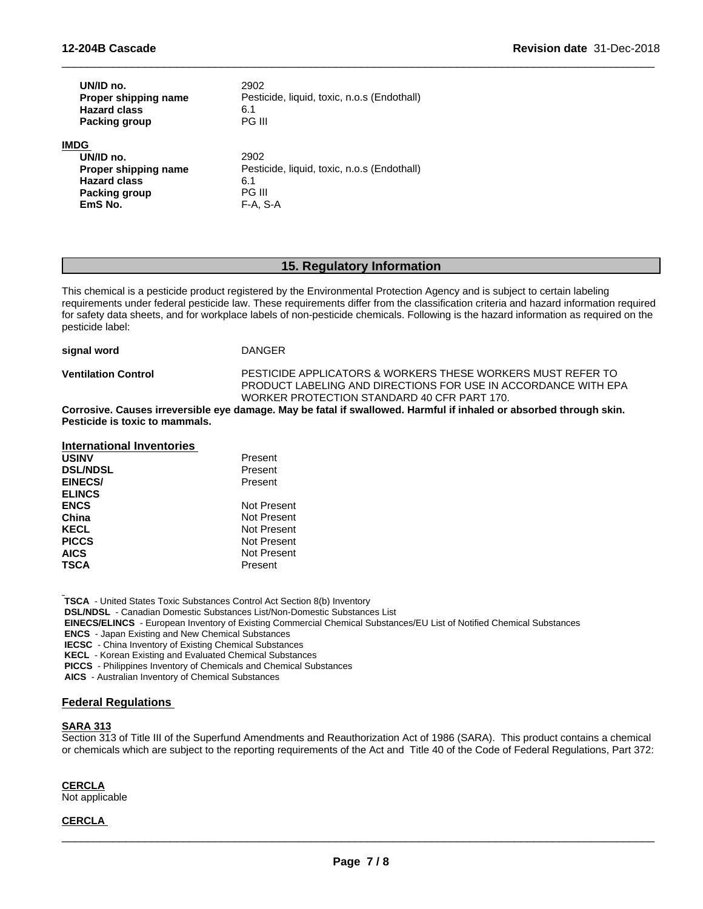| UN/ID no.<br>Proper shipping name<br><b>Hazard class</b><br><b>Packing group</b> | 2902<br>Pesticide, liquid, toxic, n.o.s (Endothall)<br>6.1<br>PG III |  |
|----------------------------------------------------------------------------------|----------------------------------------------------------------------|--|
| IMDG                                                                             |                                                                      |  |
| UN/ID no.                                                                        | 2902                                                                 |  |
| Proper shipping name                                                             | Pesticide, liquid, toxic, n.o.s (Endothall)                          |  |
| <b>Hazard class</b>                                                              | 6.1                                                                  |  |
| Packing group                                                                    | PG III                                                               |  |
| EmS No.                                                                          | F-A. S-A                                                             |  |

#### **15. Regulatory Information**

 $\overline{\phantom{a}}$  ,  $\overline{\phantom{a}}$  ,  $\overline{\phantom{a}}$  ,  $\overline{\phantom{a}}$  ,  $\overline{\phantom{a}}$  ,  $\overline{\phantom{a}}$  ,  $\overline{\phantom{a}}$  ,  $\overline{\phantom{a}}$  ,  $\overline{\phantom{a}}$  ,  $\overline{\phantom{a}}$  ,  $\overline{\phantom{a}}$  ,  $\overline{\phantom{a}}$  ,  $\overline{\phantom{a}}$  ,  $\overline{\phantom{a}}$  ,  $\overline{\phantom{a}}$  ,  $\overline{\phantom{a}}$ 

This chemical is a pesticide product registered by the Environmental Protection Agency and is subject to certain labeling requirements under federal pesticide law. These requirements differ from the classification criteria and hazard information required for safety data sheets, and for workplace labels of non-pesticide chemicals. Following is the hazard information as required on the pesticide label:

| signal word                | DANGER                                                                                                                                                                       |
|----------------------------|------------------------------------------------------------------------------------------------------------------------------------------------------------------------------|
| <b>Ventilation Control</b> | PESTICIDE APPLICATORS & WORKERS THESE WORKERS MUST REFER TO<br>PRODUCT LABELING AND DIRECTIONS FOR USE IN ACCORDANCE WITH EPA<br>WORKER PROTECTION STANDARD 40 CFR PART 170. |
| $\sim$ $\sim$ $\sim$       |                                                                                                                                                                              |

Corrosive. Causes irreversible eye damage. May be fatal if swallowed. Harmful if inhaled or absorbed through skin. **Pesticide is toxic to mammals.**

| International Inventories |             |
|---------------------------|-------------|
| <b>USINV</b>              | Present     |
| <b>DSL/NDSL</b>           | Present     |
| <b>EINECS/</b>            | Present     |
| <b>ELINCS</b>             |             |
| <b>ENCS</b>               | Not Present |
| China                     | Not Present |
| <b>KECL</b>               | Not Present |
| <b>PICCS</b>              | Not Present |
| <b>AICS</b>               | Not Present |
| <b>TSCA</b>               | Present     |

 **TSCA** - United States Toxic Substances Control Act Section 8(b) Inventory

 **DSL/NDSL** - Canadian Domestic Substances List/Non-Domestic Substances List

 **EINECS/ELINCS** - European Inventory of Existing Commercial Chemical Substances/EU List of Notified Chemical Substances

 **ENCS** - Japan Existing and New Chemical Substances

 **IECSC** - China Inventory of Existing Chemical Substances

 **KECL** - Korean Existing and Evaluated Chemical Substances

 **PICCS** - Philippines Inventory of Chemicals and Chemical Substances

 **AICS** - Australian Inventory of Chemical Substances

#### **Federal Regulations**

#### **SARA 313**

Section 313 of Title III of the Superfund Amendments and Reauthorization Act of 1986 (SARA). This product contains a chemical or chemicals which are subject to the reporting requirements of the Act and Title 40 of the Code of Federal Regulations, Part 372:

**CERCLA**

Not applicable

#### **CERCLA**